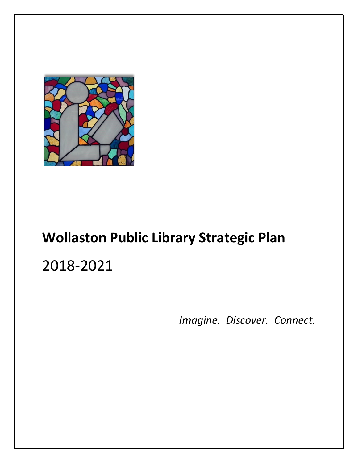

# **Wollaston Public Library Strategic Plan** 2018-2021

*Imagine. Discover. Connect.*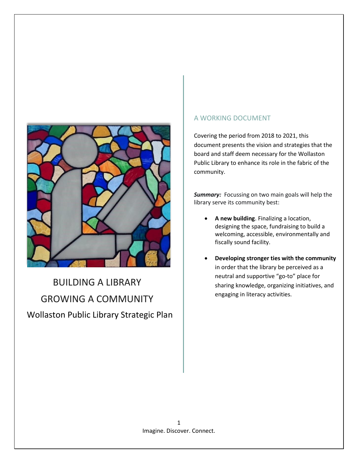

## BUILDING A LIBRARY GROWING A COMMUNITY Wollaston Public Library Strategic Plan

### A WORKING DOCUMENT

document presents the vision and strategies that the community.

> *Summary:* Focussing on two main goals will help the library serve its community best:

- **A new building**. Finalizing a location, designing the space, fundraising to build a welcoming, accessible, environmentally and fiscally sound facility.
- **Developing stronger ties with the community** in order that the library be perceived as a neutral and supportive "go-to" place for sharing knowledge, organizing initiatives, and engaging in literacy activities.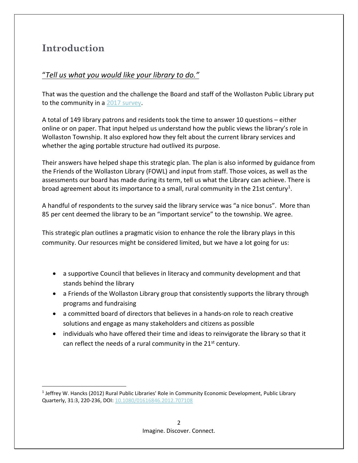### **Introduction**

l

### "*Tell us what you would like your library to do."*

That was the question and the challenge the Board and staff of the Wollaston Public Library put to the community in a [2017 survey.](https://www.surveymonkey.com/r/HXTP6CJ)

A total of 149 library patrons and residents took the time to answer 10 questions – either online or on paper. That input helped us understand how the public views the library's role in Wollaston Township. It also explored how they felt about the current library services and whether the aging portable structure had outlived its purpose.

Their answers have helped shape this strategic plan. The plan is also informed by guidance from the Friends of the Wollaston Library (FOWL) and input from staff. Those voices, as well as the assessments our board has made during its term, tell us what the Library can achieve. There is broad agreement about its importance to a small, rural community in the 21st century<sup>1</sup>.

A handful of respondents to the survey said the library service was "a nice bonus". More than 85 per cent deemed the library to be an "important service" to the township. We agree.

This strategic plan outlines a pragmatic vision to enhance the role the library plays in this community. Our resources might be considered limited, but we have a lot going for us:

- a supportive Council that believes in literacy and community development and that stands behind the library
- a Friends of the Wollaston Library group that consistently supports the library through programs and fundraising
- a committed board of directors that believes in a hands-on role to reach creative solutions and engage as many stakeholders and citizens as possible
- individuals who have offered their time and ideas to reinvigorate the library so that it can reflect the needs of a rural community in the  $21<sup>st</sup>$  century.

<sup>&</sup>lt;sup>1</sup> Jeffrey W. Hancks (2012) Rural Public Libraries' Role in Community Economic Development, Public Library Quarterly, 31:3, 220-236, DOI: [10.1080/01616846.2012.707108](https://doi.org/10.1080/01616846.2012.707108)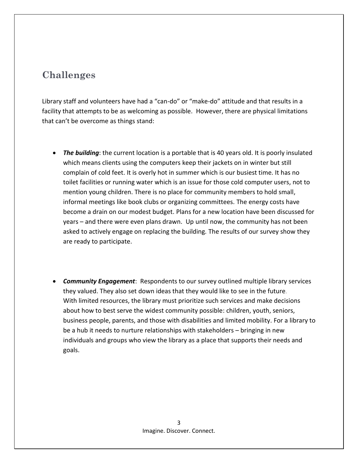### **Challenges**

Library staff and volunteers have had a "can-do" or "make-do" attitude and that results in a facility that attempts to be as welcoming as possible. However, there are physical limitations that can't be overcome as things stand:

- *The building*: the current location is a portable that is 40 years old. It is poorly insulated which means clients using the computers keep their jackets on in winter but still complain of cold feet. It is overly hot in summer which is our busiest time. It has no toilet facilities or running water which is an issue for those cold computer users, not to mention young children. There is no place for community members to hold small, informal meetings like book clubs or organizing committees. The energy costs have become a drain on our modest budget. Plans for a new location have been discussed for years – and there were even plans drawn. Up until now, the community has not been asked to actively engage on replacing the building. The results of our survey show they are ready to participate.
- *Community Engagement*: Respondents to our survey outlined multiple library services they valued. They also set down ideas that they would like to see in the future. With limited resources, the library must prioritize such services and make decisions about how to best serve the widest community possible: children, youth, seniors, business people, parents, and those with disabilities and limited mobility. For a library to be a hub it needs to nurture relationships with stakeholders – bringing in new individuals and groups who view the library as a place that supports their needs and goals.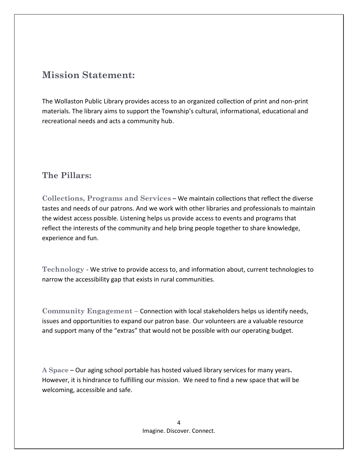### **Mission Statement:**

The Wollaston Public Library provides access to an organized collection of print and non-print materials. The library aims to support the Township's cultural, informational, educational and recreational needs and acts a community hub.

### **The Pillars:**

**Collections, Programs and Services** – We maintain collections that reflect the diverse tastes and needs of our patrons. And we work with other libraries and professionals to maintain the widest access possible. Listening helps us provide access to events and programs that reflect the interests of the community and help bring people together to share knowledge, experience and fun.

**Technology** - We strive to provide access to, and information about, current technologies to narrow the accessibility gap that exists in rural communities.

**Community Engagement –** Connection with local stakeholders helps us identify needs, issues and opportunities to expand our patron base. Our volunteers are a valuable resource and support many of the "extras" that would not be possible with our operating budget.

**A Space** – Our aging school portable has hosted valued library services for many years**.** However, it is hindrance to fulfilling our mission. We need to find a new space that will be welcoming, accessible and safe.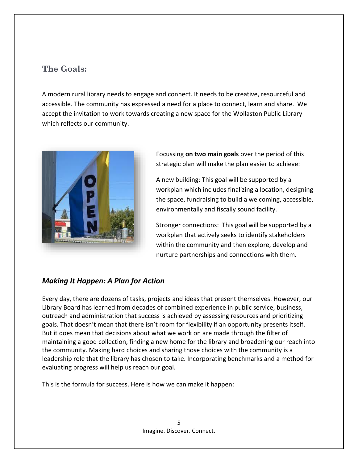### **The Goals:**

A modern rural library needs to engage and connect. It needs to be creative, resourceful and accessible. The community has expressed a need for a place to connect, learn and share. We accept the invitation to work towards creating a new space for the Wollaston Public Library which reflects our community.



Focussing **on two main goals** over the period of this strategic plan will make the plan easier to achieve:

A new building: This goal will be supported by a workplan which includes finalizing a location, designing the space, fundraising to build a welcoming, accessible, environmentally and fiscally sound facility.

Stronger connections: This goal will be supported by a workplan that actively seeks to identify stakeholders within the community and then explore, develop and nurture partnerships and connections with them.

### *Making It Happen: A Plan for Action*

Every day, there are dozens of tasks, projects and ideas that present themselves. However, our Library Board has learned from decades of combined experience in public service, business, outreach and administration that success is achieved by assessing resources and prioritizing goals. That doesn't mean that there isn't room for flexibility if an opportunity presents itself. But it does mean that decisions about what we work on are made through the filter of maintaining a good collection, finding a new home for the library and broadening our reach into the community. Making hard choices and sharing those choices with the community is a leadership role that the library has chosen to take. Incorporating benchmarks and a method for evaluating progress will help us reach our goal.

This is the formula for success. Here is how we can make it happen: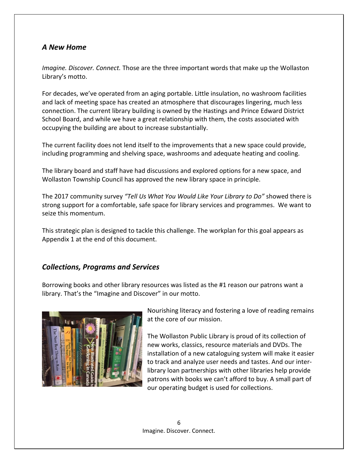#### *A New Home*

*Imagine. Discover. Connect.* Those are the three important words that make up the Wollaston Library's motto.

For decades, we've operated from an aging portable. Little insulation, no washroom facilities and lack of meeting space has created an atmosphere that discourages lingering, much less connection. The current library building is owned by the Hastings and Prince Edward District School Board, and while we have a great relationship with them, the costs associated with occupying the building are about to increase substantially.

The current facility does not lend itself to the improvements that a new space could provide, including programming and shelving space, washrooms and adequate heating and cooling.

The library board and staff have had discussions and explored options for a new space, and Wollaston Township Council has approved the new library space in principle.

The 2017 community survey *"Tell Us What You Would Like Your Library to Do"* showed there is strong support for a comfortable, safe space for library services and programmes. We want to seize this momentum.

This strategic plan is designed to tackle this challenge. The workplan for this goal appears as Appendix 1 at the end of this document.

#### *Collections, Programs and Services*

Borrowing books and other library resources was listed as the #1 reason our patrons want a library. That's the "Imagine and Discover" in our motto.



Nourishing literacy and fostering a love of reading remains at the core of our mission.

The Wollaston Public Library is proud of its collection of new works, classics, resource materials and DVDs. The installation of a new cataloguing system will make it easier to track and analyze user needs and tastes. And our interlibrary loan partnerships with other libraries help provide patrons with books we can't afford to buy. A small part of our operating budget is used for collections.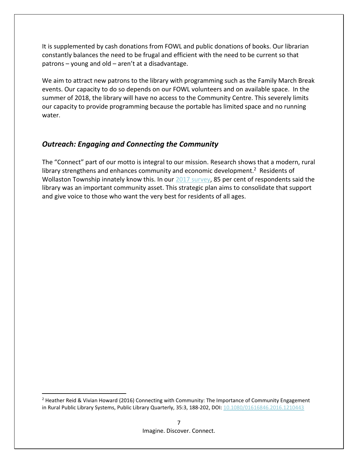It is supplemented by cash donations from FOWL and public donations of books. Our librarian constantly balances the need to be frugal and efficient with the need to be current so that patrons – young and old – aren't at a disadvantage.

We aim to attract new patrons to the library with programming such as the Family March Break events. Our capacity to do so depends on our FOWL volunteers and on available space. In the summer of 2018, the library will have no access to the Community Centre. This severely limits our capacity to provide programming because the portable has limited space and no running water.

#### *Outreach: Engaging and Connecting the Community*

The "Connect" part of our motto is integral to our mission. Research shows that a modern, rural library strengthens and enhances community and economic development.<sup>2</sup> Residents of Wollaston Township innately know this. In our [2017 survey,](https://www.surveymonkey.com/r/HXTP6CJ) 85 per cent of respondents said the library was an important community asset. This strategic plan aims to consolidate that support and give voice to those who want the very best for residents of all ages.

 $\overline{\phantom{a}}$ 

<sup>&</sup>lt;sup>2</sup> Heather Reid & Vivian Howard (2016) Connecting with Community: The Importance of Community Engagement in Rural Public Library Systems, Public Library Quarterly, 35:3, 188-202, DOI: [10.1080/01616846.2016.1210443](https://doi.org/10.1080/01616846.2016.1210443)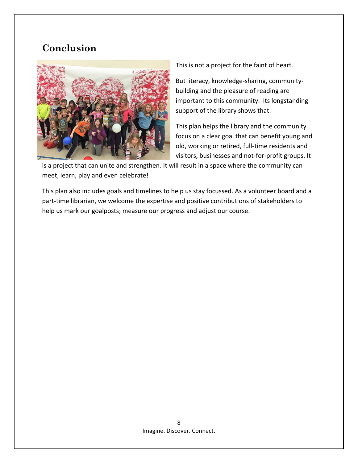### **Conclusion**



This is not a project for the faint of heart.

But literacy, knowledge-sharing, communitybuilding and the pleasure of reading are important to this community. Its longstanding support of the library shows that.

This plan helps the library and the community focus on a clear goal that can benefit young and old, working or retired, full-time residents and visitors, businesses and not-for-profit groups. It

is a project that can unite and strengthen. It will result in a space where the community can meet, learn, play and even celebrate!

This plan also includes goals and timelines to help us stay focussed. As a volunteer board and a part-time librarian, we welcome the expertise and positive contributions of stakeholders to help us mark our goalposts; measure our progress and adjust our course.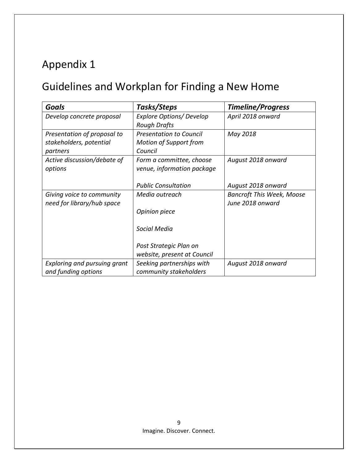## Guidelines and Workplan for Finding a New Home

| Goals                                                              | Tasks/Steps                                                                | <b>Timeline/Progress</b>                             |
|--------------------------------------------------------------------|----------------------------------------------------------------------------|------------------------------------------------------|
| Develop concrete proposal                                          | <b>Explore Options/ Develop</b><br><b>Rough Drafts</b>                     | April 2018 onward                                    |
| Presentation of proposal to<br>stakeholders, potential<br>partners | <b>Presentation to Council</b><br><b>Motion of Support from</b><br>Council | May 2018                                             |
| Active discussion/debate of<br>options                             | Form a committee, choose<br>venue, information package                     | August 2018 onward                                   |
|                                                                    | <b>Public Consultation</b>                                                 | August 2018 onward                                   |
| Giving voice to community<br>need for library/hub space            | Media outreach                                                             | <b>Bancroft This Week, Moose</b><br>June 2018 onward |
|                                                                    | Opinion piece                                                              |                                                      |
|                                                                    | Social Media                                                               |                                                      |
|                                                                    | Post Strategic Plan on                                                     |                                                      |
|                                                                    | website, present at Council                                                |                                                      |
| <b>Exploring and pursuing grant</b><br>and funding options         | Seeking partnerships with<br>community stakeholders                        | August 2018 onward                                   |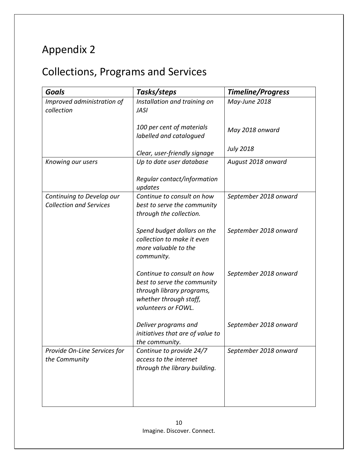## Collections, Programs and Services

| <b>Goals</b>                                                | Tasks/steps                                                                                                                             | <b>Timeline/Progress</b> |
|-------------------------------------------------------------|-----------------------------------------------------------------------------------------------------------------------------------------|--------------------------|
| Improved administration of<br>collection                    | Installation and training on<br><b>JASI</b>                                                                                             | May-June 2018            |
|                                                             | 100 per cent of materials<br>labelled and catalogued                                                                                    | May 2018 onward          |
|                                                             | Clear, user-friendly signage                                                                                                            | <b>July 2018</b>         |
| Knowing our users                                           | Up to date user database                                                                                                                | August 2018 onward       |
|                                                             | Regular contact/information<br>updates                                                                                                  |                          |
| Continuing to Develop our<br><b>Collection and Services</b> | Continue to consult on how<br>best to serve the community<br>through the collection.                                                    | September 2018 onward    |
|                                                             | Spend budget dollars on the<br>collection to make it even<br>more valuable to the<br>community.                                         | September 2018 onward    |
|                                                             | Continue to consult on how<br>best to serve the community<br>through library programs,<br>whether through staff,<br>volunteers or FOWL. | September 2018 onward    |
|                                                             | Deliver programs and<br>initiatives that are of value to<br>the community.                                                              | September 2018 onward    |
| Provide On-Line Services for<br>the Community               | Continue to provide 24/7<br>access to the internet<br>through the library building.                                                     | September 2018 onward    |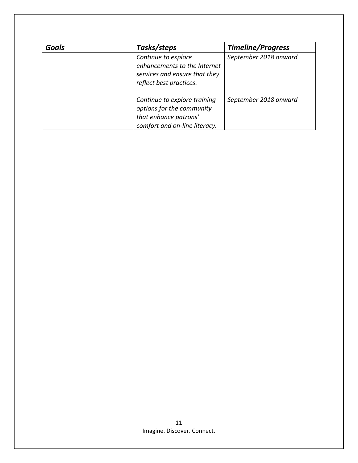| <b>Goals</b> | Tasks/steps                                                                                                         | <b>Timeline/Progress</b> |
|--------------|---------------------------------------------------------------------------------------------------------------------|--------------------------|
|              | Continue to explore<br>enhancements to the Internet<br>services and ensure that they<br>reflect best practices.     | September 2018 onward    |
|              | Continue to explore training<br>options for the community<br>that enhance patrons'<br>comfort and on-line literacy. | September 2018 onward    |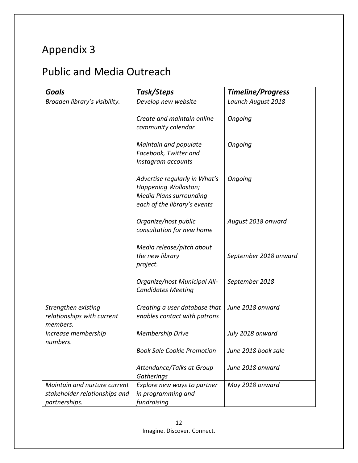## Public and Media Outreach

| <b>Goals</b>                                                                   | Task/Steps                                                                                                              | <b>Timeline/Progress</b> |
|--------------------------------------------------------------------------------|-------------------------------------------------------------------------------------------------------------------------|--------------------------|
| Broaden library's visibility.                                                  | Develop new website                                                                                                     | Launch August 2018       |
|                                                                                | Create and maintain online<br>community calendar                                                                        | Ongoing                  |
|                                                                                | Maintain and populate<br>Facebook, Twitter and<br>Instagram accounts                                                    | Ongoing                  |
|                                                                                | Advertise regularly in What's<br>Happening Wollaston;<br><b>Media Plans surrounding</b><br>each of the library's events | Ongoing                  |
|                                                                                | Organize/host public<br>consultation for new home                                                                       | August 2018 onward       |
|                                                                                | Media release/pitch about<br>the new library<br>project.                                                                | September 2018 onward    |
|                                                                                | Organize/host Municipal All-<br><b>Candidates Meeting</b>                                                               | September 2018           |
| Strengthen existing<br>relationships with current<br>members.                  | Creating a user database that<br>enables contact with patrons                                                           | June 2018 onward         |
| Increase membership<br>numbers.                                                | <b>Membership Drive</b>                                                                                                 | July 2018 onward         |
|                                                                                | <b>Book Sale Cookie Promotion</b>                                                                                       | June 2018 book sale      |
|                                                                                | Attendance/Talks at Group<br>Gatherings                                                                                 | June 2018 onward         |
| Maintain and nurture current<br>stakeholder relationships and<br>partnerships. | Explore new ways to partner<br>in programming and<br>fundraising                                                        | May 2018 onward          |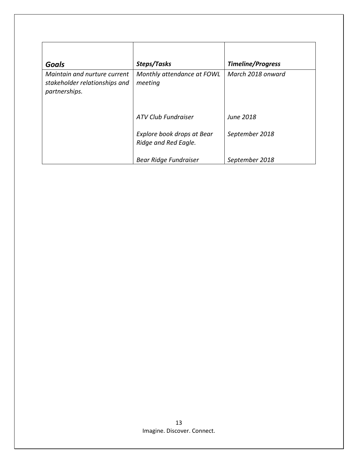|                                                                                |                                                    | <b>Timeline/Progress</b> |
|--------------------------------------------------------------------------------|----------------------------------------------------|--------------------------|
| <b>Goals</b>                                                                   | Steps/Tasks                                        |                          |
| Maintain and nurture current<br>stakeholder relationships and<br>partnerships. | Monthly attendance at FOWL<br>meeting              | March 2018 onward        |
|                                                                                | ATV Club Fundraiser                                | <b>June 2018</b>         |
|                                                                                | Explore book drops at Bear<br>Ridge and Red Eagle. | September 2018           |
|                                                                                | Bear Ridge Fundraiser                              | September 2018           |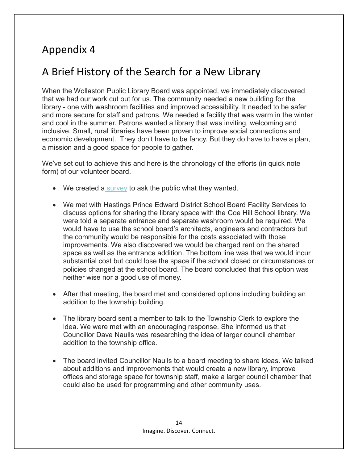## A Brief History of the Search for a New Library

When the Wollaston Public Library Board was appointed, we immediately discovered that we had our work cut out for us. The community needed a new building for the library - one with washroom facilities and improved accessibility. It needed to be safer and more secure for staff and patrons. We needed a facility that was warm in the winter and cool in the summer. Patrons wanted a library that was inviting, welcoming and inclusive. Small, rural libraries have been proven to improve social connections and economic development. They don't have to be fancy. But they do have to have a plan, a mission and a good space for people to gather.

We've set out to achieve this and here is the chronology of the efforts (in quick note form) of our volunteer board.

- We created a [survey](https://www.surveymonkey.com/r/HXTP6CJ) to ask the public what they wanted.
- We met with Hastings Prince Edward District School Board Facility Services to discuss options for sharing the library space with the Coe Hill School library. We were told a separate entrance and separate washroom would be required. We would have to use the school board's architects, engineers and contractors but the community would be responsible for the costs associated with those improvements. We also discovered we would be charged rent on the shared space as well as the entrance addition. The bottom line was that we would incur substantial cost but could lose the space if the school closed or circumstances or policies changed at the school board. The board concluded that this option was neither wise nor a good use of money.
- After that meeting, the board met and considered options including building an addition to the township building.
- The library board sent a member to talk to the Township Clerk to explore the idea. We were met with an encouraging response. She informed us that Councillor Dave Naulls was researching the idea of larger council chamber addition to the township office.
- The board invited Councillor Naulls to a board meeting to share ideas. We talked about additions and improvements that would create a new library, improve offices and storage space for township staff, make a larger council chamber that could also be used for programming and other community uses.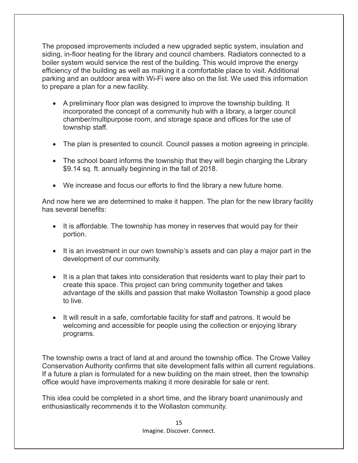The proposed improvements included a new upgraded septic system, insulation and siding, in-floor heating for the library and council chambers. Radiators connected to a boiler system would service the rest of the building. This would improve the energy efficiency of the building as well as making it a comfortable place to visit. Additional parking and an outdoor area with Wi-Fi were also on the list. We used this information to prepare a plan for a new facility.

- A preliminary floor plan was designed to improve the township building. It incorporated the concept of a community hub with a library, a larger council chamber/multipurpose room, and storage space and offices for the use of township staff.
- The plan is presented to council. Council passes a motion agreeing in principle.
- The school board informs the township that they will begin charging the Library \$9.14 sq. ft. annually beginning in the fall of 2018.
- We increase and focus our efforts to find the library a new future home.

And now here we are determined to make it happen. The plan for the new library facility has several benefits:

- It is affordable. The township has money in reserves that would pay for their portion.
- It is an investment in our own township's assets and can play a major part in the development of our community.
- It is a plan that takes into consideration that residents want to play their part to create this space. This project can bring community together and takes advantage of the skills and passion that make Wollaston Township a good place to live.
- It will result in a safe, comfortable facility for staff and patrons. It would be welcoming and accessible for people using the collection or enjoying library programs.

The township owns a tract of land at and around the township office. The Crowe Valley Conservation Authority confirms that site development falls within all current regulations. If a future a plan is formulated for a new building on the main street, then the township office would have improvements making it more desirable for sale or rent.

This idea could be completed in a short time, and the library board unanimously and enthusiastically recommends it to the Wollaston community.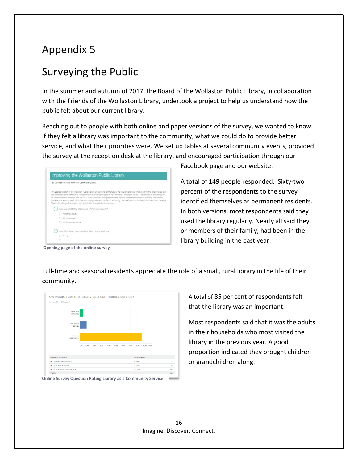## Surveying the Public

In the summer and autumn of 2017, the Board of the Wollaston Public Library, in collaboration with the Friends of the Wollaston Library, undertook a project to help us understand how the public felt about our current library.

Reaching out to people with both online and paper versions of the survey, we wanted to know if they felt a library was important to the community, what we could do to provide better service, and what their priorities were. We set up tables at several community events, provided the survey at the reception desk at the library, and encouraged participation through our

| Tell Us What You Need from Your Community Library                                                                                                                                                                                                                                                                                                                                                                                                                                                                                                                                                                                                                        |
|--------------------------------------------------------------------------------------------------------------------------------------------------------------------------------------------------------------------------------------------------------------------------------------------------------------------------------------------------------------------------------------------------------------------------------------------------------------------------------------------------------------------------------------------------------------------------------------------------------------------------------------------------------------------------|
| The Board and Staff of the Wollaston Public Library are planning for the future. We would like to hear what you think the library needs so it<br>can better serve the community. Please help us out with your ideas on how to make it the best it can be. The answers to this survey will<br>be used to create a strategic plan for 2017-2020. The Board has agreed that the physical space for the library is a priority. The current<br>portable is at least 40 years old. It has no running water, poor insulation and wiring. We need your input to help us address this challenge.<br>Thanks for taking a few minutes to help build the library Wollaston deserves. |
| How would rate the library as a community service?                                                                                                                                                                                                                                                                                                                                                                                                                                                                                                                                                                                                                       |
| Were fire without it.                                                                                                                                                                                                                                                                                                                                                                                                                                                                                                                                                                                                                                                    |
| it is a nice bonus.                                                                                                                                                                                                                                                                                                                                                                                                                                                                                                                                                                                                                                                      |
| (1) It is an important pervice.                                                                                                                                                                                                                                                                                                                                                                                                                                                                                                                                                                                                                                          |
| How often have you visited the library in the past year?                                                                                                                                                                                                                                                                                                                                                                                                                                                                                                                                                                                                                 |
| Vientis                                                                                                                                                                                                                                                                                                                                                                                                                                                                                                                                                                                                                                                                  |
| $C$ . Advanced .                                                                                                                                                                                                                                                                                                                                                                                                                                                                                                                                                                                                                                                         |

Facebook page and our website.

A total of 149 people responded. Sixty-two percent of the respondents to the survey identified themselves as permanent residents. In both versions, most respondents said they used the library regularly. Nearly all said they, or members of their family, had been in the library building in the past year.

**Opening page of the online survey**

Full-time and seasonal residents appreciate the role of a small, rural library in the life of their community.



**Online Survey Question Rating Library as a Community Service**

A total of 85 per cent of respondents felt that the library was an important.

Most respondents said that it was the adults in their households who most visited the library in the previous year. A good proportion indicated they brought children or grandchildren along.